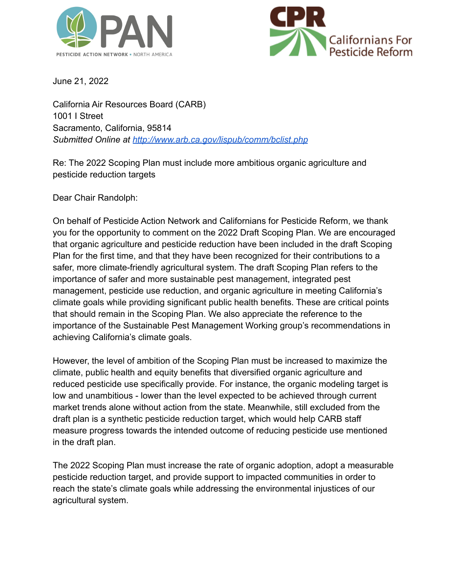



June 21, 2022

California Air Resources Board (CARB) 1001 I Street Sacramento, California, 95814 *Submitted Online at http://www.arb.ca.gov/lispub/comm/bclist.php*

Re: The 2022 Scoping Plan must include more ambitious organic agriculture and pesticide reduction targets

Dear Chair Randolph:

On behalf of Pesticide Action Network and Californians for Pesticide Reform, we thank you for the opportunity to comment on the 2022 Draft Scoping Plan. We are encouraged that organic agriculture and pesticide reduction have been included in the draft Scoping Plan for the first time, and that they have been recognized for their contributions to a safer, more climate-friendly agricultural system. The draft Scoping Plan refers to the importance of safer and more sustainable pest management, integrated pest management, pesticide use reduction, and organic agriculture in meeting California's climate goals while providing significant public health benefits. These are critical points that should remain in the Scoping Plan. We also appreciate the reference to the importance of the Sustainable Pest Management Working group's recommendations in achieving California's climate goals.

However, the level of ambition of the Scoping Plan must be increased to maximize the climate, public health and equity benefits that diversified organic agriculture and reduced pesticide use specifically provide. For instance, the organic modeling target is low and unambitious - lower than the level expected to be achieved through current market trends alone without action from the state. Meanwhile, still excluded from the draft plan is a synthetic pesticide reduction target, which would help CARB staff measure progress towards the intended outcome of reducing pesticide use mentioned in the draft plan.

The 2022 Scoping Plan must increase the rate of organic adoption, adopt a measurable pesticide reduction target, and provide support to impacted communities in order to reach the state's climate goals while addressing the environmental injustices of our agricultural system.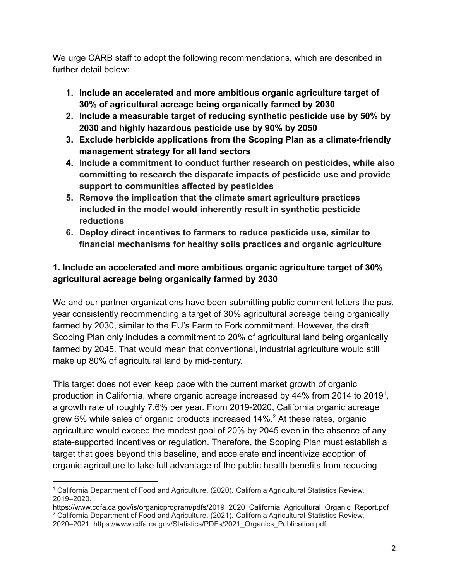We urge CARB staff to adopt the following recommendations, which are described in further detail below:

- **1. Include an accelerated and more ambitious organic agriculture target of 30% of agricultural acreage being organically farmed by 2030**
- **2. Include a measurable target of reducing synthetic pesticide use by 50% by 2030 and highly hazardous pesticide use by 90% by 2050**
- **3. Exclude herbicide applications from the Scoping Plan as a climate-friendly management strategy for all land sectors**
- **4. Include a commitment to conduct further research on pesticides, while also committing to research the disparate impacts of pesticide use and provide support to communities affected by pesticides**
- **5. Remove the implication that the climate smart agriculture practices included in the model would inherently result in synthetic pesticide reductions**
- **6. Deploy direct incentives to farmers to reduce pesticide use, similar to financial mechanisms for healthy soils practices and organic agriculture**

# **1. Include an accelerated and more ambitious organic agriculture target of 30% agricultural acreage being organically farmed by 2030**

We and our partner organizations have been submitting public comment letters the past year consistently recommending a target of 30% agricultural acreage being organically farmed by 2030, similar to the EU's Farm to Fork commitment. However, the draft Scoping Plan only includes a commitment to 20% of agricultural land being organically farmed by 2045. That would mean that conventional, industrial agriculture would still make up 80% of agricultural land by mid-century.

This target does not even keep pace with the current market growth of organic production in California, where organic acreage increased by 44% from 2014 to 2019<sup>1</sup>, a growth rate of roughly 7.6% per year. From 2019-2020, California organic acreage grew 6% while sales of organic products increased 14%.2 At these rates, organic agriculture would exceed the modest goal of 20% by 2045 even in the absence of any state-supported incentives or regulation. Therefore, the Scoping Plan must establish a target that goes beyond this baseline, and accelerate and incentivize adoption of organic agriculture to take full advantage of the public health benefits from reducing

<sup>1</sup> California Department of Food and Agriculture. (2020). California Agricultural Statistics Review, 2019–2020.

<sup>&</sup>lt;sup>2</sup> California Department of Food and Agriculture. (2021). California Agricultural Statistics Review, 2020–2021. https://www.cdfa.ca.gov/Statistics/PDFs/2021\_Organics\_Publication.pdf. https://www.cdfa.ca.gov/is/organicprogram/pdfs/2019\_2020\_California\_Agricultural\_Organic\_Report.pdf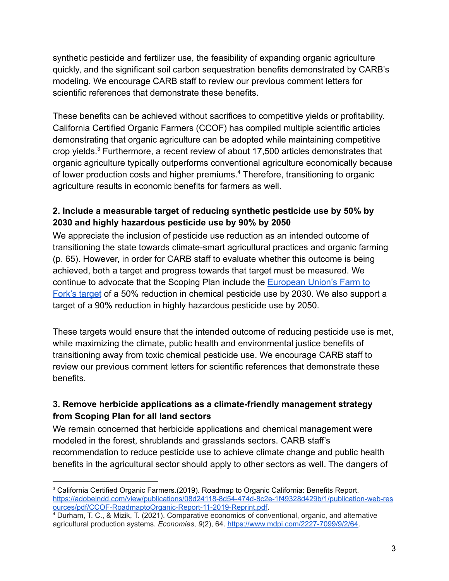synthetic pesticide and fertilizer use, the feasibility of expanding organic agriculture quickly, and the significant soil carbon sequestration benefits demonstrated by CARB's modeling. We encourage CARB staff to review our previous comment letters for scientific references that demonstrate these benefits.

These benefits can be achieved without sacrifices to competitive yields or profitability. California Certified Organic Farmers (CCOF) has compiled multiple scientific articles demonstrating that organic agriculture can be adopted while maintaining competitive crop yields.3 Furthermore, a recent review of about 17,500 articles demonstrates that organic agriculture typically outperforms conventional agriculture economically because of lower production costs and higher premiums.4 Therefore, transitioning to organic agriculture results in economic benefits for farmers as well.

### **2. Include a measurable target of reducing synthetic pesticide use by 50% by 2030 and highly hazardous pesticide use by 90% by 2050**

We appreciate the inclusion of pesticide use reduction as an intended outcome of transitioning the state towards climate-smart agricultural practices and organic farming (p. 65). However, in order for CARB staff to evaluate whether this outcome is being achieved, both a target and progress towards that target must be measured. We continue to advocate that the Scoping Plan include the European Union's Farm to Fork's target of a 50% reduction in chemical pesticide use by 2030. We also support a target of a 90% reduction in highly hazardous pesticide use by 2050.

These targets would ensure that the intended outcome of reducing pesticide use is met, while maximizing the climate, public health and environmental justice benefits of transitioning away from toxic chemical pesticide use. We encourage CARB staff to review our previous comment letters for scientific references that demonstrate these benefits.

### **3. Remove herbicide applications as a climate-friendly management strategy from Scoping Plan for all land sectors**

We remain concerned that herbicide applications and chemical management were modeled in the forest, shrublands and grasslands sectors. CARB staff's recommendation to reduce pesticide use to achieve climate change and public health benefits in the agricultural sector should apply to other sectors as well. The dangers of

<sup>3</sup> California Certified Organic Farmers.(2019). Roadmap to Organic California: Benefits Report. https://adobeindd.com/view/publications/08d24118-8d54-474d-8c2e-1f49328d429b/1/publication-web-res ources/pdf/CCOF-RoadmaptoOrganic-Report-11-2019-Reprint.pdf.

<sup>4</sup> Durham, T. C., & Mizik, T. (2021). Comparative economics of conventional, organic, and alternative agricultural production systems. *Economies*, *9*(2), 64. https://www.mdpi.com/2227-7099/9/2/64.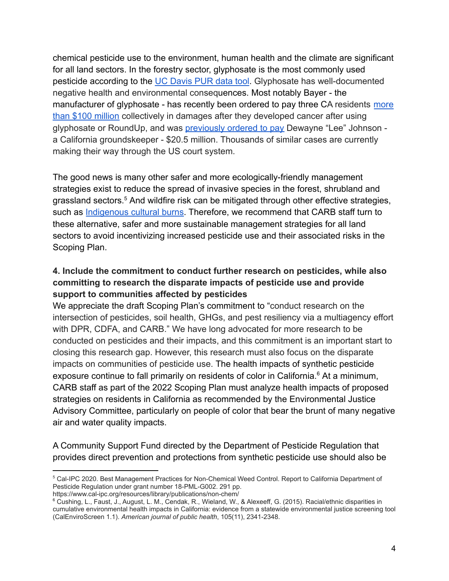chemical pesticide use to the environment, human health and the climate are significant for all land sectors. In the forestry sector, glyphosate is the most commonly used pesticide according to the UC Davis PUR data tool. Glyphosate has well-documented negative health and environmental consequences. Most notably Bayer - the manufacturer of glyphosate - has recently been ordered to pay three CA residents more than \$100 million collectively in damages after they developed cancer after using glyphosate or RoundUp, and was previously ordered to pay Dewayne "Lee" Johnson a California groundskeeper - \$20.5 million. Thousands of similar cases are currently making their way through the US court system.

The good news is many other safer and more ecologically-friendly management strategies exist to reduce the spread of invasive species in the forest, shrubland and grassland sectors.<sup>5</sup> And wildfire risk can be mitigated through other effective strategies, such as Indigenous cultural burns. Therefore, we recommend that CARB staff turn to these alternative, safer and more sustainable management strategies for all land sectors to avoid incentivizing increased pesticide use and their associated risks in the Scoping Plan.

#### **4. Include the commitment to conduct further research on pesticides, while also committing to research the disparate impacts of pesticide use and provide support to communities affected by pesticides**

We appreciate the draft Scoping Plan's commitment to "conduct research on the intersection of pesticides, soil health, GHGs, and pest resiliency via a multiagency effort with DPR, CDFA, and CARB." We have long advocated for more research to be conducted on pesticides and their impacts, and this commitment is an important start to closing this research gap. However, this research must also focus on the disparate impacts on communities of pesticide use. The health impacts of synthetic pesticide exposure continue to fall primarily on residents of color in California.<sup>6</sup> At a minimum, CARB staff as part of the 2022 Scoping Plan must analyze health impacts of proposed strategies on residents in California as recommended by the Environmental Justice Advisory Committee, particularly on people of color that bear the brunt of many negative air and water quality impacts.

A Community Support Fund directed by the Department of Pesticide Regulation that provides direct prevention and protections from synthetic pesticide use should also be

<sup>5</sup> Cal-IPC 2020. Best Management Practices for Non-Chemical Weed Control. Report to California Department of Pesticide Regulation under grant number 18-PML-G002. 291 pp. https://www.cal-ipc.org/resources/library/publications/non-chem/

<sup>6</sup> Cushing, L., Faust, J., August, L. M., Cendak, R., Wieland, W., & Alexeeff, G. (2015). Racial/ethnic disparities in cumulative environmental health impacts in California: evidence from a statewide environmental justice screening tool (CalEnviroScreen 1.1). *American journal of public health*, 105(11), 2341-2348.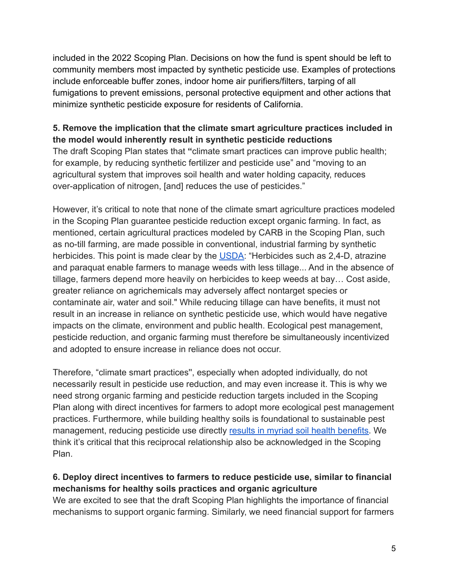included in the 2022 Scoping Plan. Decisions on how the fund is spent should be left to community members most impacted by synthetic pesticide use. Examples of protections include enforceable buffer zones, indoor home air purifiers/filters, tarping of all fumigations to prevent emissions, personal protective equipment and other actions that minimize synthetic pesticide exposure for residents of California.

### **5. Remove the implication that the climate smart agriculture practices included in the model would inherently result in synthetic pesticide reductions**

The draft Scoping Plan states that **"**climate smart practices can improve public health; for example, by reducing synthetic fertilizer and pesticide use" and "moving to an agricultural system that improves soil health and water holding capacity, reduces over-application of nitrogen, [and] reduces the use of pesticides."

However, it's critical to note that none of the climate smart agriculture practices modeled in the Scoping Plan guarantee pesticide reduction except organic farming. In fact, as mentioned, certain agricultural practices modeled by CARB in the Scoping Plan, such as no-till farming, are made possible in conventional, industrial farming by synthetic herbicides. This point is made clear by the USDA: "Herbicides such as 2,4-D, atrazine and paraquat enable farmers to manage weeds with less tillage... And in the absence of tillage, farmers depend more heavily on herbicides to keep weeds at bay… Cost aside, greater reliance on agrichemicals may adversely affect nontarget species or contaminate air, water and soil." While reducing tillage can have benefits, it must not result in an increase in reliance on synthetic pesticide use, which would have negative impacts on the climate, environment and public health. Ecological pest management, pesticide reduction, and organic farming must therefore be simultaneously incentivized and adopted to ensure increase in reliance does not occur.

Therefore, "climate smart practices'', especially when adopted individually, do not necessarily result in pesticide use reduction, and may even increase it. This is why we need strong organic farming and pesticide reduction targets included in the Scoping Plan along with direct incentives for farmers to adopt more ecological pest management practices. Furthermore, while building healthy soils is foundational to sustainable pest management, reducing pesticide use directly results in myriad soil health benefits. We think it's critical that this reciprocal relationship also be acknowledged in the Scoping Plan.

# **6. Deploy direct incentives to farmers to reduce pesticide use, similar to financial mechanisms for healthy soils practices and organic agriculture**

We are excited to see that the draft Scoping Plan highlights the importance of financial mechanisms to support organic farming. Similarly, we need financial support for farmers